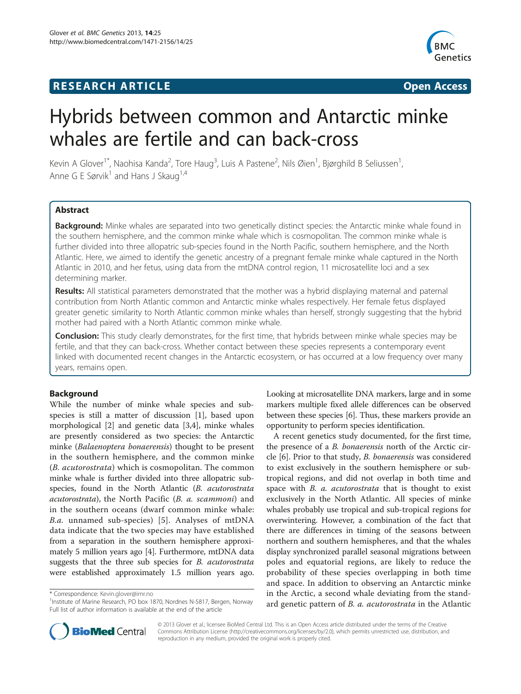## **RESEARCH ARTICLE Example 2014 12:30 The SEAR CH ACCESS**



# Hybrids between common and Antarctic minke whales are fertile and can back-cross

Kevin A Glover<sup>1\*</sup>, Naohisa Kanda<sup>2</sup>, Tore Haug<sup>3</sup>, Luis A Pastene<sup>2</sup>, Nils Øien<sup>1</sup>, Bjørghild B Seliussen<sup>1</sup> , Anne G E Sørvik<sup>1</sup> and Hans J Skaug<sup>1,4</sup>

## **Abstract**

Background: Minke whales are separated into two genetically distinct species: the Antarctic minke whale found in the southern hemisphere, and the common minke whale which is cosmopolitan. The common minke whale is further divided into three allopatric sub-species found in the North Pacific, southern hemisphere, and the North Atlantic. Here, we aimed to identify the genetic ancestry of a pregnant female minke whale captured in the North Atlantic in 2010, and her fetus, using data from the mtDNA control region, 11 microsatellite loci and a sex determining marker.

**Results:** All statistical parameters demonstrated that the mother was a hybrid displaying maternal and paternal contribution from North Atlantic common and Antarctic minke whales respectively. Her female fetus displayed greater genetic similarity to North Atlantic common minke whales than herself, strongly suggesting that the hybrid mother had paired with a North Atlantic common minke whale.

**Conclusion:** This study clearly demonstrates, for the first time, that hybrids between minke whale species may be fertile, and that they can back-cross. Whether contact between these species represents a contemporary event linked with documented recent changes in the Antarctic ecosystem, or has occurred at a low frequency over many years, remains open.

#### Background

While the number of minke whale species and subspecies is still a matter of discussion [\[1](#page-10-0)], based upon morphological [[2\]](#page-10-0) and genetic data [\[3,4](#page-10-0)], minke whales are presently considered as two species: the Antarctic minke (Balaenoptera bonaerensis) thought to be present in the southern hemisphere, and the common minke (B. acutorostrata) which is cosmopolitan. The common minke whale is further divided into three allopatric subspecies, found in the North Atlantic (B. acutorostrata acutorostrata), the North Pacific (B. a. scammoni) and in the southern oceans (dwarf common minke whale: B.a. unnamed sub-species) [[5](#page-10-0)]. Analyses of mtDNA data indicate that the two species may have established from a separation in the southern hemisphere approximately 5 million years ago [\[4\]](#page-10-0). Furthermore, mtDNA data suggests that the three sub species for B. acutorostrata were established approximately 1.5 million years ago.

\* Correspondence: [Kevin.glover@imr.no](mailto:Kevin.glover@imr.no) <sup>1</sup>

<sup>1</sup>Institute of Marine Research, PO box 1870, Nordnes N-5817, Bergen, Norway Full list of author information is available at the end of the article



A recent genetics study documented, for the first time, the presence of a B. bonaerensis north of the Arctic circle [\[6](#page-10-0)]. Prior to that study, B. bonaerensis was considered to exist exclusively in the southern hemisphere or subtropical regions, and did not overlap in both time and space with *B. a. acutorostrata* that is thought to exist exclusively in the North Atlantic. All species of minke whales probably use tropical and sub-tropical regions for overwintering. However, a combination of the fact that there are differences in timing of the seasons between northern and southern hemispheres, and that the whales display synchronized parallel seasonal migrations between poles and equatorial regions, are likely to reduce the probability of these species overlapping in both time and space. In addition to observing an Antarctic minke in the Arctic, a second whale deviating from the standard genetic pattern of B. a. acutorostrata in the Atlantic



© 2013 Glover et al.; licensee BioMed Central Ltd. This is an Open Access article distributed under the terms of the Creative Commons Attribution License [\(http://creativecommons.org/licenses/by/2.0\)](http://creativecommons.org/licenses/by/2.0), which permits unrestricted use, distribution, and reproduction in any medium, provided the original work is properly cited.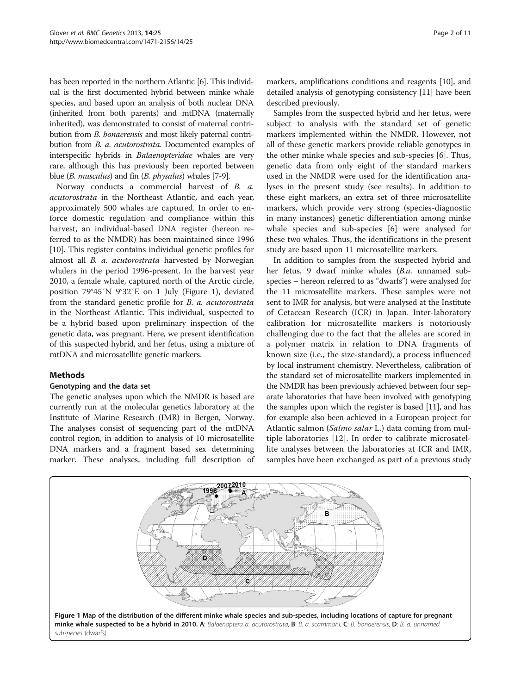has been reported in the northern Atlantic [\[6\]](#page-10-0). This individual is the first documented hybrid between minke whale species, and based upon an analysis of both nuclear DNA (inherited from both parents) and mtDNA (maternally inherited), was demonstrated to consist of maternal contribution from B. bonaerensis and most likely paternal contribution from B. a. acutorostrata. Documented examples of interspecific hybrids in Balaenopteridae whales are very rare, although this has previously been reported between blue (*B. musculus*) and fin (*B. physalus*) whales [[7](#page-10-0)-[9](#page-10-0)].

Norway conducts a commercial harvest of B. a. acutorostrata in the Northeast Atlantic, and each year, approximately 500 whales are captured. In order to enforce domestic regulation and compliance within this harvest, an individual-based DNA register (hereon referred to as the NMDR) has been maintained since 1996 [[10\]](#page-10-0). This register contains individual genetic profiles for almost all B. a. acutorostrata harvested by Norwegian whalers in the period 1996-present. In the harvest year 2010, a female whale, captured north of the Arctic circle, position 79°45′N 9°32′E on 1 July (Figure 1), deviated from the standard genetic profile for B. a. acutorostrata in the Northeast Atlantic. This individual, suspected to be a hybrid based upon preliminary inspection of the genetic data, was pregnant. Here, we present identification of this suspected hybrid, and her fetus, using a mixture of mtDNA and microsatellite genetic markers.

## Methods

#### Genotyping and the data set

The genetic analyses upon which the NMDR is based are currently run at the molecular genetics laboratory at the Institute of Marine Research (IMR) in Bergen, Norway. The analyses consist of sequencing part of the mtDNA control region, in addition to analysis of 10 microsatellite DNA markers and a fragment based sex determining marker. These analyses, including full description of markers, amplifications conditions and reagents [\[10](#page-10-0)], and detailed analysis of genotyping consistency [[11](#page-10-0)] have been described previously.

Samples from the suspected hybrid and her fetus, were subject to analysis with the standard set of genetic markers implemented within the NMDR. However, not all of these genetic markers provide reliable genotypes in the other minke whale species and sub-species [\[6](#page-10-0)]. Thus, genetic data from only eight of the standard markers used in the NMDR were used for the identification analyses in the present study (see results). In addition to these eight markers, an extra set of three microsatellite markers, which provide very strong (species-diagnostic in many instances) genetic differentiation among minke whale species and sub-species [\[6](#page-10-0)] were analysed for these two whales. Thus, the identifications in the present study are based upon 11 microsatellite markers.

In addition to samples from the suspected hybrid and her fetus, 9 dwarf minke whales (B.a. unnamed subspecies – hereon referred to as "dwarfs") were analysed for the 11 microsatellite markers. These samples were not sent to IMR for analysis, but were analysed at the Institute of Cetacean Research (ICR) in Japan. Inter-laboratory calibration for microsatellite markers is notoriously challenging due to the fact that the alleles are scored in a polymer matrix in relation to DNA fragments of known size (i.e., the size-standard), a process influenced by local instrument chemistry. Nevertheless, calibration of the standard set of microsatellite markers implemented in the NMDR has been previously achieved between four separate laboratories that have been involved with genotyping the samples upon which the register is based [\[11\]](#page-10-0), and has for example also been achieved in a European project for Atlantic salmon (Salmo salar L.) data coming from multiple laboratories [[12\]](#page-10-0). In order to calibrate microsatellite analyses between the laboratories at ICR and IMR, samples have been exchanged as part of a previous study

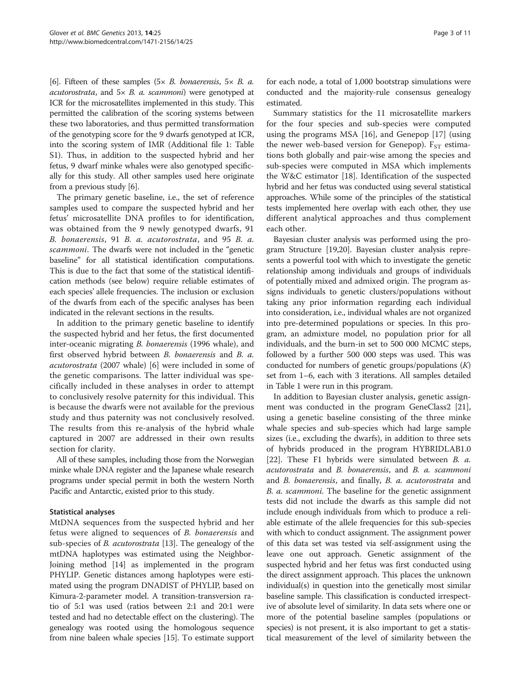[[6](#page-10-0)]. Fifteen of these samples  $(5 \times B.$  bonaerensis,  $5 \times B.$  a. acutorostrata, and  $5 \times B$ . a. scammoni) were genotyped at ICR for the microsatellites implemented in this study. This permitted the calibration of the scoring systems between these two laboratories, and thus permitted transformation of the genotyping score for the 9 dwarfs genotyped at ICR, into the scoring system of IMR (Additional file [1:](#page-9-0) Table S1). Thus, in addition to the suspected hybrid and her fetus, 9 dwarf minke whales were also genotyped specifically for this study. All other samples used here originate from a previous study [\[6](#page-10-0)].

The primary genetic baseline, i.e., the set of reference samples used to compare the suspected hybrid and her fetus' microsatellite DNA profiles to for identification, was obtained from the 9 newly genotyped dwarfs, 91 B. bonaerensis, 91 B. a. acutorostrata, and 95 B. a. scammoni. The dwarfs were not included in the "genetic baseline" for all statistical identification computations. This is due to the fact that some of the statistical identification methods (see below) require reliable estimates of each species' allele frequencies. The inclusion or exclusion of the dwarfs from each of the specific analyses has been indicated in the relevant sections in the results.

In addition to the primary genetic baseline to identify the suspected hybrid and her fetus, the first documented inter-oceanic migrating B. bonaerensis (1996 whale), and first observed hybrid between B. bonaerensis and B. a. acutorostrata (2007 whale) [[6\]](#page-10-0) were included in some of the genetic comparisons. The latter individual was specifically included in these analyses in order to attempt to conclusively resolve paternity for this individual. This is because the dwarfs were not available for the previous study and thus paternity was not conclusively resolved. The results from this re-analysis of the hybrid whale captured in 2007 are addressed in their own results section for clarity.

All of these samples, including those from the Norwegian minke whale DNA register and the Japanese whale research programs under special permit in both the western North Pacific and Antarctic, existed prior to this study.

#### Statistical analyses

MtDNA sequences from the suspected hybrid and her fetus were aligned to sequences of B. bonaerensis and sub-species of *B. acutorostrata* [\[13\]](#page-10-0). The genealogy of the mtDNA haplotypes was estimated using the Neighbor-Joining method [\[14\]](#page-10-0) as implemented in the program PHYLIP. Genetic distances among haplotypes were estimated using the program DNADIST of PHYLIP, based on Kimura-2-parameter model. A transition-transversion ratio of 5:1 was used (ratios between 2:1 and 20:1 were tested and had no detectable effect on the clustering). The genealogy was rooted using the homologous sequence from nine baleen whale species [\[15\]](#page-10-0). To estimate support for each node, a total of 1,000 bootstrap simulations were conducted and the majority-rule consensus genealogy estimated.

Summary statistics for the 11 microsatellite markers for the four species and sub-species were computed using the programs MSA [\[16](#page-10-0)], and Genepop [\[17\]](#page-10-0) (using the newer web-based version for Genepop).  $F_{ST}$  estimations both globally and pair-wise among the species and sub-species were computed in MSA which implements the W&C estimator [[18\]](#page-10-0). Identification of the suspected hybrid and her fetus was conducted using several statistical approaches. While some of the principles of the statistical tests implemented here overlap with each other, they use different analytical approaches and thus complement each other.

Bayesian cluster analysis was performed using the program Structure [[19,20](#page-10-0)]. Bayesian cluster analysis represents a powerful tool with which to investigate the genetic relationship among individuals and groups of individuals of potentially mixed and admixed origin. The program assigns individuals to genetic clusters/populations without taking any prior information regarding each individual into consideration, i.e., individual whales are not organized into pre-determined populations or species. In this program, an admixture model, no population prior for all individuals, and the burn-in set to 500 000 MCMC steps, followed by a further 500 000 steps was used. This was conducted for numbers of genetic groups/populations  $(K)$ set from 1–6, each with 3 iterations. All samples detailed in Table [1](#page-3-0) were run in this program.

In addition to Bayesian cluster analysis, genetic assignment was conducted in the program GeneClass2 [\[21](#page-10-0)], using a genetic baseline consisting of the three minke whale species and sub-species which had large sample sizes (i.e., excluding the dwarfs), in addition to three sets of hybrids produced in the program HYBRIDLAB1.0 [[22\]](#page-10-0). These F1 hybrids were simulated between  $B$ .  $a$ . acutorostrata and B. bonaerensis, and B. a. scammoni and B. bonaerensis, and finally, B. a. acutorostrata and B. a. scammoni. The baseline for the genetic assignment tests did not include the dwarfs as this sample did not include enough individuals from which to produce a reliable estimate of the allele frequencies for this sub-species with which to conduct assignment. The assignment power of this data set was tested via self-assignment using the leave one out approach. Genetic assignment of the suspected hybrid and her fetus was first conducted using the direct assignment approach. This places the unknown individual(s) in question into the genetically most similar baseline sample. This classification is conducted irrespective of absolute level of similarity. In data sets where one or more of the potential baseline samples (populations or species) is not present, it is also important to get a statistical measurement of the level of similarity between the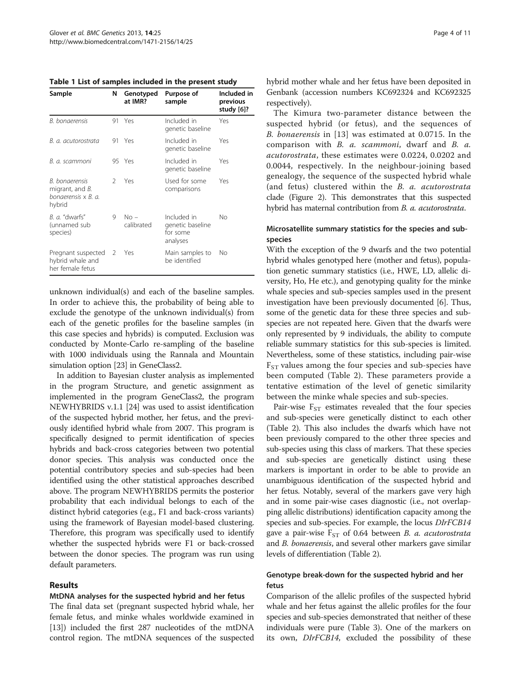<span id="page-3-0"></span>Table 1 List of samples included in the present study

| Sample                                                                                 | N | Genotyped<br>at IMR? | Purpose of<br>sample                                    | Included in<br>previous<br>study [6]? |  |
|----------------------------------------------------------------------------------------|---|----------------------|---------------------------------------------------------|---------------------------------------|--|
| B. bonaerensis                                                                         |   | 91 Yes               | Included in<br>genetic baseline                         | Yes                                   |  |
| B. a. acutorostrata                                                                    |   | 91 Yes               | Included in<br>genetic baseline                         | Yes                                   |  |
| B. a. scammoni                                                                         |   | 95 Yes               | Included in<br>genetic baseline                         | Yes                                   |  |
| B. bonaerensis<br>$\mathcal{P}$<br>migrant, and $B$ .<br>bongerensis x B, a.<br>hybrid |   | Yes                  | Used for some<br>comparisons                            | Yes                                   |  |
| B. a. "dwarfs"<br>(unnamed sub<br>species)                                             | 9 | $No =$<br>calibrated | Included in<br>genetic baseline<br>for some<br>analyses | Nο                                    |  |
| Pregnant suspected<br>hybrid whale and<br>her female fetus                             | 2 | Yes                  | Main samples to<br>be identified                        | Nο                                    |  |

unknown individual(s) and each of the baseline samples. In order to achieve this, the probability of being able to exclude the genotype of the unknown individual(s) from each of the genetic profiles for the baseline samples (in this case species and hybrids) is computed. Exclusion was conducted by Monte-Carlo re-sampling of the baseline with 1000 individuals using the Rannala and Mountain simulation option [\[23\]](#page-10-0) in GeneClass2.

In addition to Bayesian cluster analysis as implemented in the program Structure, and genetic assignment as implemented in the program GeneClass2, the program NEWHYBRIDS v.1.1 [\[24\]](#page-10-0) was used to assist identification of the suspected hybrid mother, her fetus, and the previously identified hybrid whale from 2007. This program is specifically designed to permit identification of species hybrids and back-cross categories between two potential donor species. This analysis was conducted once the potential contributory species and sub-species had been identified using the other statistical approaches described above. The program NEWHYBRIDS permits the posterior probability that each individual belongs to each of the distinct hybrid categories (e.g., F1 and back-cross variants) using the framework of Bayesian model-based clustering. Therefore, this program was specifically used to identify whether the suspected hybrids were F1 or back-crossed between the donor species. The program was run using default parameters.

#### Results

## MtDNA analyses for the suspected hybrid and her fetus

The final data set (pregnant suspected hybrid whale, her female fetus, and minke whales worldwide examined in [[13](#page-10-0)]) included the first 287 nucleotides of the mtDNA control region. The mtDNA sequences of the suspected hybrid mother whale and her fetus have been deposited in Genbank (accession numbers KC692324 and KC692325 respectively).

The Kimura two-parameter distance between the suspected hybrid (or fetus), and the sequences of B. bonaerensis in [\[13](#page-10-0)] was estimated at 0.0715. In the comparison with B. a. scammoni, dwarf and B. a. acutorostrata, these estimates were 0.0224, 0.0202 and 0.0044, respectively. In the neighbour-joining based genealogy, the sequence of the suspected hybrid whale (and fetus) clustered within the B. a. acutorostrata clade (Figure [2](#page-4-0)). This demonstrates that this suspected hybrid has maternal contribution from B. a. acutorostrata.

#### Microsatellite summary statistics for the species and subspecies

With the exception of the 9 dwarfs and the two potential hybrid whales genotyped here (mother and fetus), population genetic summary statistics (i.e., HWE, LD, allelic diversity, Ho, He etc.), and genotyping quality for the minke whale species and sub-species samples used in the present investigation have been previously documented [\[6](#page-10-0)]. Thus, some of the genetic data for these three species and subspecies are not repeated here. Given that the dwarfs were only represented by 9 individuals, the ability to compute reliable summary statistics for this sub-species is limited. Nevertheless, some of these statistics, including pair-wise  $F<sub>ST</sub>$  values among the four species and sub-species have been computed (Table [2\)](#page-5-0). These parameters provide a tentative estimation of the level of genetic similarity between the minke whale species and sub-species.

Pair-wise  $F_{ST}$  estimates revealed that the four species and sub-species were genetically distinct to each other (Table [2\)](#page-5-0). This also includes the dwarfs which have not been previously compared to the other three species and sub-species using this class of markers. That these species and sub-species are genetically distinct using these markers is important in order to be able to provide an unambiguous identification of the suspected hybrid and her fetus. Notably, several of the markers gave very high and in some pair-wise cases diagnostic (i.e., not overlapping allelic distributions) identification capacity among the species and sub-species. For example, the locus *DIrFCB14* gave a pair-wise  $F_{ST}$  of 0.64 between *B. a. acutorostrata* and *B. bonaerensis*, and several other markers gave similar levels of differentiation (Table [2\)](#page-5-0).

## Genotype break-down for the suspected hybrid and her fetus

Comparison of the allelic profiles of the suspected hybrid whale and her fetus against the allelic profiles for the four species and sub-species demonstrated that neither of these individuals were pure (Table [3\)](#page-6-0). One of the markers on its own, DIrFCB14, excluded the possibility of these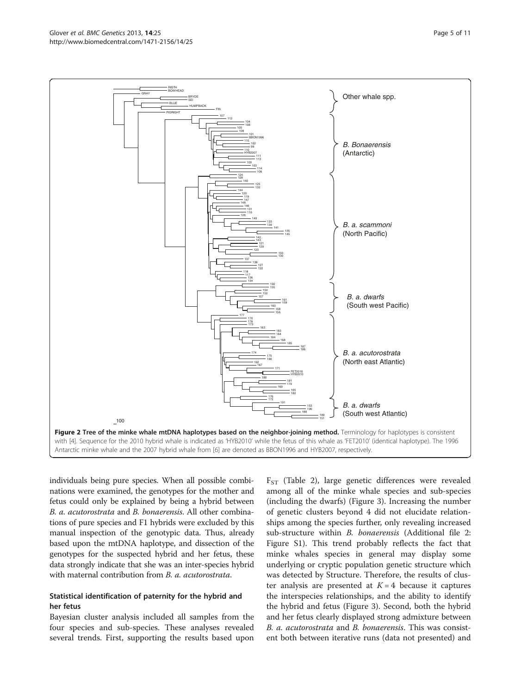<span id="page-4-0"></span>

individuals being pure species. When all possible combinations were examined, the genotypes for the mother and fetus could only be explained by being a hybrid between B. a. acutorostrata and B. bonaerensis. All other combinations of pure species and F1 hybrids were excluded by this manual inspection of the genotypic data. Thus, already based upon the mtDNA haplotype, and dissection of the genotypes for the suspected hybrid and her fetus, these data strongly indicate that she was an inter-species hybrid with maternal contribution from B. a. acutorostrata.

## Statistical identification of paternity for the hybrid and her fetus

Bayesian cluster analysis included all samples from the four species and sub-species. These analyses revealed several trends. First, supporting the results based upon

 $F<sub>ST</sub>$  (Table [2\)](#page-5-0), large genetic differences were revealed among all of the minke whale species and sub-species (including the dwarfs) (Figure [3](#page-7-0)). Increasing the number of genetic clusters beyond 4 did not elucidate relationships among the species further, only revealing increased sub-structure within *B. bonaerensis* (Additional file [2](#page-9-0): Figure S1). This trend probably reflects the fact that minke whales species in general may display some underlying or cryptic population genetic structure which was detected by Structure. Therefore, the results of cluster analysis are presented at  $K = 4$  because it captures the interspecies relationships, and the ability to identify the hybrid and fetus (Figure [3\)](#page-7-0). Second, both the hybrid and her fetus clearly displayed strong admixture between B. a. acutorostrata and B. bonaerensis. This was consistent both between iterative runs (data not presented) and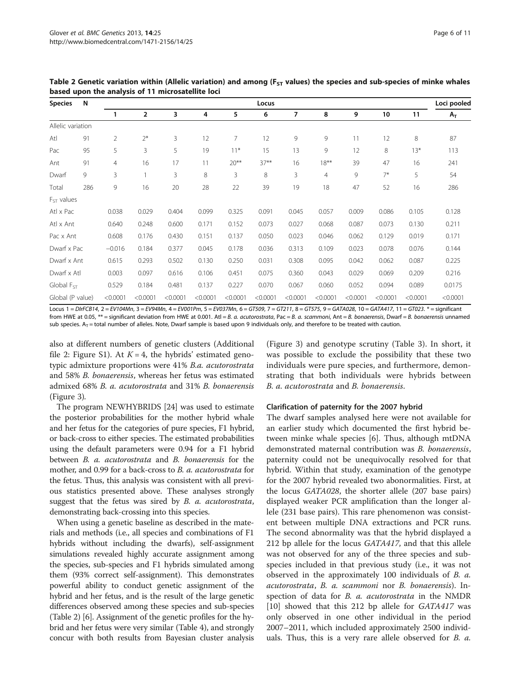| <b>Species</b>         | N   | Locus          |                |          |          |          |          |          |          |          |          |          |          |
|------------------------|-----|----------------|----------------|----------|----------|----------|----------|----------|----------|----------|----------|----------|----------|
|                        |     | 1              | $\overline{2}$ | 3        | 4        | 5        | 6        | 7        | 8        | 9        | 10       | 11       | $A_T$    |
| Allelic variation      |     |                |                |          |          |          |          |          |          |          |          |          |          |
| Atl                    | 91  | $\overline{2}$ | $2*$           | 3        | 12       | 7        | 12       | 9        | 9        | 11       | 12       | 8        | 87       |
| Pac                    | 95  | 5              | 3              | 5        | 19       | $11*$    | 15       | 13       | 9        | 12       | 8        | $13*$    | 113      |
| Ant                    | 91  | $\overline{4}$ | 16             | 17       | 11       | $20***$  | $37***$  | 16       | $18***$  | 39       | 47       | 16       | 241      |
| Dwarf                  | 9   | 3              | 1              | 3        | 8        | 3        | 8        | 3        | 4        | 9        | $7*$     | 5        | 54       |
| Total                  | 286 | 9              | 16             | 20       | 28       | 22       | 39       | 19       | 18       | 47       | 52       | 16       | 286      |
| $FST$ values           |     |                |                |          |          |          |          |          |          |          |          |          |          |
| Atl x Pac              |     | 0.038          | 0.029          | 0.404    | 0.099    | 0.325    | 0.091    | 0.045    | 0.057    | 0.009    | 0.086    | 0.105    | 0.128    |
| Atl x Ant              |     | 0.640          | 0.248          | 0.600    | 0.171    | 0.152    | 0.073    | 0.027    | 0.068    | 0.087    | 0.073    | 0.130    | 0.211    |
| Pac x Ant              |     | 0.608          | 0.176          | 0.430    | 0.151    | 0.137    | 0.050    | 0.023    | 0.046    | 0.062    | 0.129    | 0.019    | 0.171    |
| Dwarf x Pac            |     | $-0.016$       | 0.184          | 0.377    | 0.045    | 0.178    | 0.036    | 0.313    | 0.109    | 0.023    | 0.078    | 0.076    | 0.144    |
| Dwarf x Ant            |     | 0.615          | 0.293          | 0.502    | 0.130    | 0.250    | 0.031    | 0.308    | 0.095    | 0.042    | 0.062    | 0.087    | 0.225    |
| Dwarf x Atl            |     | 0.003          | 0.097          | 0.616    | 0.106    | 0.451    | 0.075    | 0.360    | 0.043    | 0.029    | 0.069    | 0.209    | 0.216    |
| Global F <sub>ST</sub> |     | 0.529          | 0.184          | 0.481    | 0.137    | 0.227    | 0.070    | 0.067    | 0.060    | 0.052    | 0.094    | 0.089    | 0.0175   |
| Global (P value)       |     | < 0.0001       | < 0.0001       | < 0.0001 | < 0.0001 | < 0.0001 | < 0.0001 | < 0.0001 | < 0.0001 | < 0.0001 | < 0.0001 | < 0.0001 | < 0.0001 |

<span id="page-5-0"></span>Table 2 Genetic variation within (Allelic variation) and among ( $F_{ST}$  values) the species and sub-species of minke whales based upon the analysis of 11 microsatellite loci

Locus 1 = DIrFCB14, 2= EV104Mn, 3= EV94Mn, 4= EV001Pm,5= EV037Mn, 6= GT509,7= GT211,8= GT575, 9= GATA028, 10 = GATA417, 11 = GT023. \* = significant from HWE at 0.05, \*\* = significant deviation from HWE at 0.001. Atl = B. a. acutorostrata, Pac = B. a. scammoni, Ant = B. bonaerensis, Dwarf = B. bonaerensis unnamed sub species.  $A_T$  = total number of alleles. Note, Dwarf sample is based upon 9 individuals only, and therefore to be treated with caution.

also at different numbers of genetic clusters (Additional file [2:](#page-9-0) Figure S1). At  $K = 4$ , the hybrids' estimated genotypic admixture proportions were 41% B.a. acutorostrata and 58% B. bonaerensis, whereas her fetus was estimated admixed 68% B. a. acutorostrata and 31% B. bonaerensis (Figure [3](#page-7-0)).

The program NEWHYBRIDS [\[24](#page-10-0)] was used to estimate the posterior probabilities for the mother hybrid whale and her fetus for the categories of pure species, F1 hybrid, or back-cross to either species. The estimated probabilities using the default parameters were 0.94 for a F1 hybrid between *B. a. acutorostrata* and *B. bonaerensis* for the mother, and 0.99 for a back-cross to B. a. acutorostrata for the fetus. Thus, this analysis was consistent with all previous statistics presented above. These analyses strongly suggest that the fetus was sired by B. a. acutorostrata, demonstrating back-crossing into this species.

When using a genetic baseline as described in the materials and methods (i.e., all species and combinations of F1 hybrids without including the dwarfs), self-assignment simulations revealed highly accurate assignment among the species, sub-species and F1 hybrids simulated among them (93% correct self-assignment). This demonstrates powerful ability to conduct genetic assignment of the hybrid and her fetus, and is the result of the large genetic differences observed among these species and sub-species (Table 2) [[6](#page-10-0)]. Assignment of the genetic profiles for the hybrid and her fetus were very similar (Table [4](#page-8-0)), and strongly concur with both results from Bayesian cluster analysis (Figure [3](#page-7-0)) and genotype scrutiny (Table [3\)](#page-6-0). In short, it was possible to exclude the possibility that these two individuals were pure species, and furthermore, demonstrating that both individuals were hybrids between B. a. acutorostrata and B. bonaerensis.

#### Clarification of paternity for the 2007 hybrid

The dwarf samples analysed here were not available for an earlier study which documented the first hybrid between minke whale species [[6\]](#page-10-0). Thus, although mtDNA demonstrated maternal contribution was *B. bonaerensis*, paternity could not be unequivocally resolved for that hybrid. Within that study, examination of the genotype for the 2007 hybrid revealed two abonormalities. First, at the locus GATA028, the shorter allele (207 base pairs) displayed weaker PCR amplification than the longer allele (231 base pairs). This rare phenomenon was consistent between multiple DNA extractions and PCR runs. The second abnormality was that the hybrid displayed a 212 bp allele for the locus GATA417, and that this allele was not observed for any of the three species and subspecies included in that previous study (i.e., it was not observed in the approximately 100 individuals of B. a. acutorostrata, B. a. scammoni nor B. bonaerensis). Inspection of data for *B. a. acutorostrata* in the NMDR [[10\]](#page-10-0) showed that this 212 bp allele for GATA417 was only observed in one other individual in the period 2007–2011, which included approximately 2500 individuals. Thus, this is a very rare allele observed for B. a.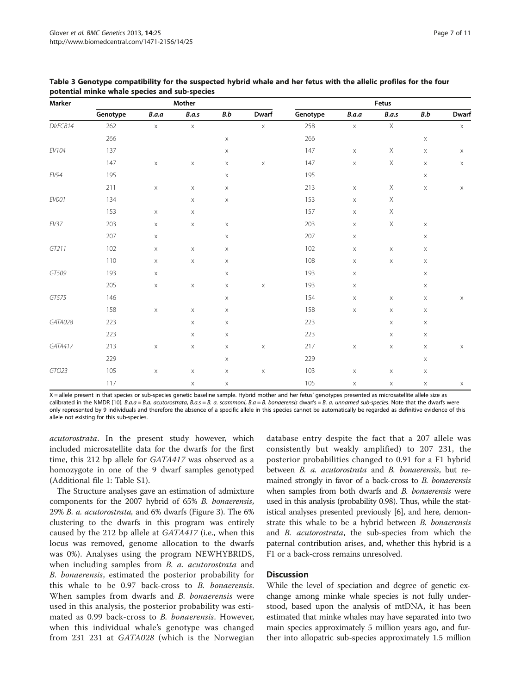| Marker   |          |             | Mother             |             | Fetus       |          |             |             |                   |                    |
|----------|----------|-------------|--------------------|-------------|-------------|----------|-------------|-------------|-------------------|--------------------|
|          | Genotype | B.a.a       | B.a.s              | B.b         | Dwarf       | Genotype | B.a.a       | B.a.s       | $\pmb{B}.\pmb{b}$ | Dwarf              |
| DIrFCB14 | 262      | $\mathsf X$ | $\bar{\mathsf{X}}$ |             | $\mathsf X$ | 258      | $\mathsf X$ | $\mathsf X$ |                   | $\bar{\mathsf{X}}$ |
|          | 266      |             |                    | $\mathsf X$ |             | 266      |             |             | $\mathsf X$       |                    |
| EV104    | 137      |             |                    | $\mathsf X$ |             | 147      | $\mathsf X$ | $\mathsf X$ | $\mathsf X$       | $\mathsf X$        |
|          | 147      | $\mathsf X$ | $\mathsf X$        | $\mathsf X$ | $\mathsf X$ | 147      | $\mathsf X$ | $\mathsf X$ | $\mathsf X$       | $\mathsf X$        |
| EV94     | 195      |             |                    | $\mathsf X$ |             | 195      |             |             | $\mathsf X$       |                    |
|          | 211      | $\mathsf X$ | $\mathsf X$        | $\mathsf X$ |             | 213      | $\mathsf X$ | $\mathsf X$ | $\mathsf X$       | $\mathsf X$        |
| EV001    | 134      |             | $\mathsf X$        | $\mathsf X$ |             | 153      | $\mathsf X$ | $\mathsf X$ |                   |                    |
|          | 153      | $\mathsf X$ | $\mathsf X$        |             |             | 157      | $\mathsf X$ | $\mathsf X$ |                   |                    |
| EV37     | 203      | $\mathsf X$ | $\mathsf X$        | $\mathsf X$ |             | 203      | $\mathsf X$ | $\mathsf X$ | $\mathsf X$       |                    |
|          | 207      | $\mathsf X$ |                    | $\mathsf X$ |             | 207      | $\mathsf X$ |             | $\mathsf X$       |                    |
| GT211    | 102      | $\mathsf X$ | $\mathsf X$        | $\mathsf X$ |             | 102      | $\mathsf X$ | $\mathsf X$ | $\mathsf X$       |                    |
|          | 110      | $\mathsf X$ | $\mathsf X$        | $\mathsf X$ |             | 108      | $\mathsf X$ | $\mathsf X$ | $\mathsf X$       |                    |
| GT509    | 193      | $\mathsf X$ |                    | $\mathsf X$ |             | 193      | $\mathsf X$ |             | $\mathsf X$       |                    |
|          | 205      | $\mathsf X$ | $\mathsf X$        | $\mathsf X$ | $\mathsf X$ | 193      | $\mathsf X$ |             | $\mathsf X$       |                    |
| GT575    | 146      |             |                    | $\mathsf X$ |             | 154      | $\mathsf X$ | $\mathsf X$ | $\mathsf X$       | $\mathsf X$        |
|          | 158      | $\mathsf X$ | $\mathsf X$        | $\mathsf X$ |             | 158      | $\mathsf X$ | $\mathsf X$ | $\mathsf X$       |                    |
| GATA028  | 223      |             | $\mathsf X$        | $\mathsf X$ |             | 223      |             | $\mathsf X$ | $\mathsf X$       |                    |
|          | 223      |             | $\mathsf X$        | $\mathsf X$ |             | 223      |             | $\mathsf X$ | $\mathsf X$       |                    |
| GATA417  | 213      | $\mathsf X$ | $\mathsf X$        | $\mathsf X$ | $\mathsf X$ | 217      | $\mathsf X$ | $\mathsf X$ | $\mathsf X$       | $\mathsf X$        |
|          | 229      |             |                    | $\mathsf X$ |             | 229      |             |             | $\mathsf X$       |                    |
| GTO23    | 105      | $\mathsf X$ | $\mathsf X$        | $\mathsf X$ | $\mathsf X$ | 103      | $\mathsf X$ | $\mathsf X$ | $\mathsf X$       |                    |
|          | 117      |             | $\mathsf X$        | $\mathsf X$ |             | 105      | $\mathsf X$ | $\mathsf X$ | $\mathsf X$       | $\mathsf X$        |

<span id="page-6-0"></span>Table 3 Genotype compatibility for the suspected hybrid whale and her fetus with the allelic profiles for the four potential minke whale species and sub-species

X = allele present in that species or sub-species genetic baseline sample. Hybrid mother and her fetus' genotypes presented as microsatellite allele size as calibrated in the NMDR [[10\]](#page-10-0). B.a.a = B.a. acutorostrata, B.a.s = B. a. scammoni, B.a = B. bonaerensis dwarfs = B. a. unnamed sub-species. Note that the dwarfs were only represented by 9 individuals and therefore the absence of a specific allele in this species cannot be automatically be regarded as definitive evidence of this allele not existing for this sub-species.

acutorostrata. In the present study however, which included microsatellite data for the dwarfs for the first time, this 212 bp allele for GATA417 was observed as a homozygote in one of the 9 dwarf samples genotyped (Additional file [1](#page-9-0): Table S1).

The Structure analyses gave an estimation of admixture components for the 2007 hybrid of 65% B. bonaerensis, 29% B. a. acutorostrata, and 6% dwarfs (Figure [3](#page-7-0)). The 6% clustering to the dwarfs in this program was entirely caused by the 212 bp allele at GATA417 (i.e., when this locus was removed, genome allocation to the dwarfs was 0%). Analyses using the program NEWHYBRIDS, when including samples from *B. a. acutorostrata* and B. bonaerensis, estimated the posterior probability for this whale to be 0.97 back-cross to B. bonaerensis. When samples from dwarfs and *B. bonaerensis* were used in this analysis, the posterior probability was estimated as 0.99 back-cross to B. bonaerensis. However, when this individual whale's genotype was changed from 231 231 at GATA028 (which is the Norwegian database entry despite the fact that a 207 allele was consistently but weakly amplified) to 207 231, the posterior probabilities changed to 0.91 for a F1 hybrid between B. a. acutorostrata and B. bonaerensis, but remained strongly in favor of a back-cross to B. bonaerensis when samples from both dwarfs and B. bonaerensis were used in this analysis (probability 0.98). Thus, while the statistical analyses presented previously [[6](#page-10-0)], and here, demonstrate this whale to be a hybrid between *B. bonaerensis* and *B. acutorostrata*, the sub-species from which the paternal contribution arises, and, whether this hybrid is a F1 or a back-cross remains unresolved.

#### **Discussion**

While the level of speciation and degree of genetic exchange among minke whale species is not fully understood, based upon the analysis of mtDNA, it has been estimated that minke whales may have separated into two main species approximately 5 million years ago, and further into allopatric sub-species approximately 1.5 million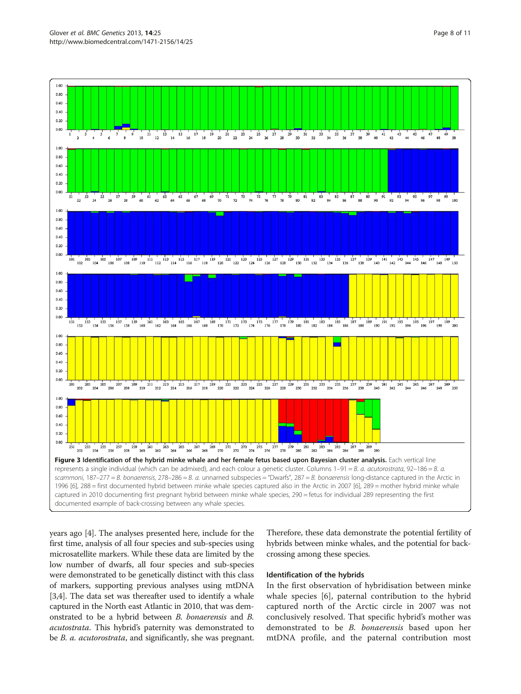<span id="page-7-0"></span>

years ago [[4\]](#page-10-0). The analyses presented here, include for the first time, analysis of all four species and sub-species using microsatellite markers. While these data are limited by the low number of dwarfs, all four species and sub-species were demonstrated to be genetically distinct with this class of markers, supporting previous analyses using mtDNA [[3,4](#page-10-0)]. The data set was thereafter used to identify a whale captured in the North east Atlantic in 2010, that was demonstrated to be a hybrid between B. bonaerensis and B. acutostrata. This hybrid's paternity was demonstrated to be *B. a. acutorostrata*, and significantly, she was pregnant.

Therefore, these data demonstrate the potential fertility of hybrids between minke whales, and the potential for backcrossing among these species.

#### Identification of the hybrids

In the first observation of hybridisation between minke whale species [\[6](#page-10-0)], paternal contribution to the hybrid captured north of the Arctic circle in 2007 was not conclusively resolved. That specific hybrid's mother was demonstrated to be B. bonaerensis based upon her mtDNA profile, and the paternal contribution most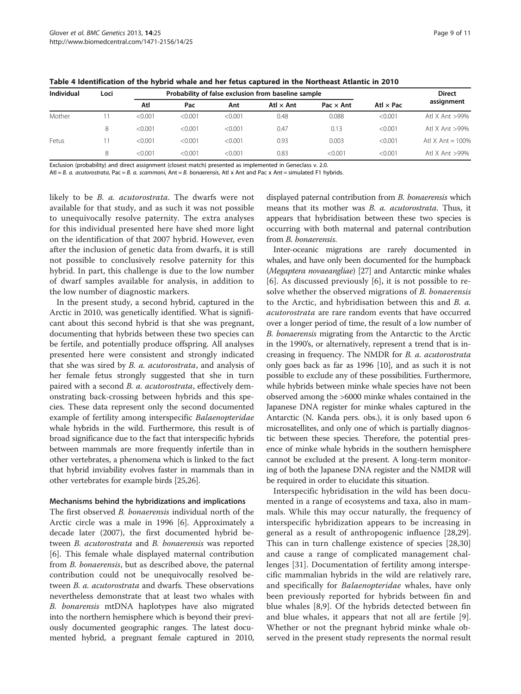| Individual | Loci |         | Probability of false exclusion from baseline sample |         | <b>Direct</b>    |                  |                  |                     |
|------------|------|---------|-----------------------------------------------------|---------|------------------|------------------|------------------|---------------------|
|            |      | Atl     | Pac                                                 | Ant     | Atl $\times$ Ant | Pac $\times$ Ant | Atl $\times$ Pac | assignment          |
| Mother     |      | < 0.001 | < 0.001                                             | < 0.001 | 0.48             | 0.088            | < 0.001          | Atl X Ant >99%      |
|            | 8    | < 0.001 | < 0.001                                             | < 0.001 | 0.47             | 0.13             | < 0.001          | Atl $X$ Ant $>99\%$ |
| Fetus      |      | < 0.001 | < 0.001                                             | < 0.001 | 0.93             | 0.003            | < 0.001          | Atl $X$ Ant = 100%  |
|            | 8    | < 0.001 | < 0.001                                             | < 0.001 | 0.83             | < 0.001          | < 0.001          | Atl $X$ Ant $>99\%$ |

<span id="page-8-0"></span>Table 4 Identification of the hybrid whale and her fetus captured in the Northeast Atlantic in 2010

Exclusion (probability) and direct assignment (closest match) presented as implemented in Geneclass v. 2.0.

Atl = B. a. acutorostrata, Pac = B. a. scammoni, Ant = B. bonaerensis, Atl x Ant and Pac x Ant = simulated F1 hybrids.

likely to be *B. a. acutorostrata*. The dwarfs were not available for that study, and as such it was not possible to unequivocally resolve paternity. The extra analyses for this individual presented here have shed more light on the identification of that 2007 hybrid. However, even after the inclusion of genetic data from dwarfs, it is still not possible to conclusively resolve paternity for this hybrid. In part, this challenge is due to the low number of dwarf samples available for analysis, in addition to the low number of diagnostic markers.

In the present study, a second hybrid, captured in the Arctic in 2010, was genetically identified. What is significant about this second hybrid is that she was pregnant, documenting that hybrids between these two species can be fertile, and potentially produce offspring. All analyses presented here were consistent and strongly indicated that she was sired by B. a. acutorostrata, and analysis of her female fetus strongly suggested that she in turn paired with a second B. a. acutorostrata, effectively demonstrating back-crossing between hybrids and this species. These data represent only the second documented example of fertility among interspecific Balaenopteridae whale hybrids in the wild. Furthermore, this result is of broad significance due to the fact that interspecific hybrids between mammals are more frequently infertile than in other vertebrates, a phenomena which is linked to the fact that hybrid inviability evolves faster in mammals than in other vertebrates for example birds [[25,26\]](#page-10-0).

#### Mechanisms behind the hybridizations and implications

The first observed B. bonaerensis individual north of the Arctic circle was a male in 1996 [\[6\]](#page-10-0). Approximately a decade later (2007), the first documented hybrid between B. acutorostrata and B. bonaerensis was reported [[6\]](#page-10-0). This female whale displayed maternal contribution from B. bonaerensis, but as described above, the paternal contribution could not be unequivocally resolved between B. a. acutorostrata and dwarfs. These observations nevertheless demonstrate that at least two whales with B. bonarensis mtDNA haplotypes have also migrated into the northern hemisphere which is beyond their previously documented geographic ranges. The latest documented hybrid, a pregnant female captured in 2010,

displayed paternal contribution from B. bonaerensis which means that its mother was B. a. acutorostrata. Thus, it appears that hybridisation between these two species is occurring with both maternal and paternal contribution from B. bonaerensis.

Inter-oceanic migrations are rarely documented in whales, and have only been documented for the humpback (Megaptera novaeangliae) [\[27\]](#page-10-0) and Antarctic minke whales [[6\]](#page-10-0). As discussed previously [[6](#page-10-0)], it is not possible to resolve whether the observed migrations of B. bonaerensis to the Arctic, and hybridisation between this and B. a. acutorostrata are rare random events that have occurred over a longer period of time, the result of a low number of B. bonaerensis migrating from the Antarctic to the Arctic in the 1990's, or alternatively, represent a trend that is increasing in frequency. The NMDR for B. a. acutorostrata only goes back as far as 1996 [\[10\]](#page-10-0), and as such it is not possible to exclude any of these possibilities. Furthermore, while hybrids between minke whale species have not been observed among the >6000 minke whales contained in the Japanese DNA register for minke whales captured in the Antarctic (N. Kanda pers. obs.), it is only based upon 6 microsatellites, and only one of which is partially diagnostic between these species. Therefore, the potential presence of minke whale hybrids in the southern hemisphere cannot be excluded at the present. A long-term monitoring of both the Japanese DNA register and the NMDR will be required in order to elucidate this situation.

Interspecific hybridisation in the wild has been documented in a range of ecosystems and taxa, also in mammals. While this may occur naturally, the frequency of interspecific hybridization appears to be increasing in general as a result of anthropogenic influence [[28,29](#page-10-0)]. This can in turn challenge existence of species [\[28,30](#page-10-0)] and cause a range of complicated management challenges [\[31](#page-10-0)]. Documentation of fertility among interspecific mammalian hybrids in the wild are relatively rare, and specifically for Balaenopteridae whales, have only been previously reported for hybrids between fin and blue whales [[8,9\]](#page-10-0). Of the hybrids detected between fin and blue whales, it appears that not all are fertile [\[9](#page-10-0)]. Whether or not the pregnant hybrid minke whale observed in the present study represents the normal result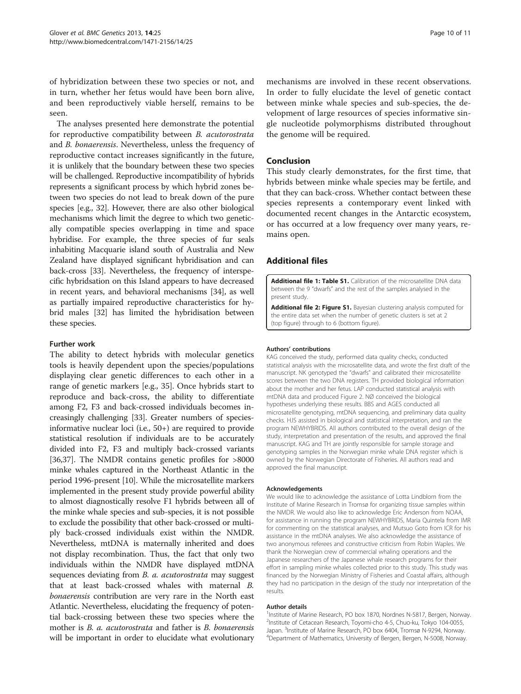<span id="page-9-0"></span>of hybridization between these two species or not, and in turn, whether her fetus would have been born alive, and been reproductively viable herself, remains to be seen.

The analyses presented here demonstrate the potential for reproductive compatibility between B. acutorostrata and B. bonaerensis. Nevertheless, unless the frequency of reproductive contact increases significantly in the future, it is unlikely that the boundary between these two species will be challenged. Reproductive incompatibility of hybrids represents a significant process by which hybrid zones between two species do not lead to break down of the pure species [e.g., [32](#page-10-0)]. However, there are also other biological mechanisms which limit the degree to which two genetically compatible species overlapping in time and space hybridise. For example, the three species of fur seals inhabiting Macquarie island south of Australia and New Zealand have displayed significant hybridisation and can back-cross [\[33\]](#page-10-0). Nevertheless, the frequency of interspecific hybridsation on this Island appears to have decreased in recent years, and behavioral mechanisms [[34](#page-10-0)], as well as partially impaired reproductive characteristics for hybrid males [\[32\]](#page-10-0) has limited the hybridisation between these species.

#### Further work

The ability to detect hybrids with molecular genetics tools is heavily dependent upon the species/populations displaying clear genetic differences to each other in a range of genetic markers [e.g., [35\]](#page-10-0). Once hybrids start to reproduce and back-cross, the ability to differentiate among F2, F3 and back-crossed individuals becomes increasingly challenging [\[33\]](#page-10-0). Greater numbers of speciesinformative nuclear loci (i.e., 50+) are required to provide statistical resolution if individuals are to be accurately divided into F2, F3 and multiply back-crossed variants [[36,37](#page-10-0)]. The NMDR contains genetic profiles for >8000 minke whales captured in the Northeast Atlantic in the period 1996-present [[10](#page-10-0)]. While the microsatellite markers implemented in the present study provide powerful ability to almost diagnostically resolve F1 hybrids between all of the minke whale species and sub-species, it is not possible to exclude the possibility that other back-crossed or multiply back-crossed individuals exist within the NMDR. Nevertheless, mtDNA is maternally inherited and does not display recombination. Thus, the fact that only two individuals within the NMDR have displayed mtDNA sequences deviating from *B. a. acutorostrata* may suggest that at least back-crossed whales with maternal B. bonaerensis contribution are very rare in the North east Atlantic. Nevertheless, elucidating the frequency of potential back-crossing between these two species where the mother is *B. a. acutorostrata* and father is *B. bonaerensis* will be important in order to elucidate what evolutionary

mechanisms are involved in these recent observations. In order to fully elucidate the level of genetic contact between minke whale species and sub-species, the development of large resources of species informative single nucleotide polymorphisms distributed throughout the genome will be required.

#### Conclusion

This study clearly demonstrates, for the first time, that hybrids between minke whale species may be fertile, and that they can back-cross. Whether contact between these species represents a contemporary event linked with documented recent changes in the Antarctic ecosystem, or has occurred at a low frequency over many years, remains open.

#### Additional files

[Additional file 1: Table S1.](http://www.biomedcentral.com/content/supplementary/1471-2156-14-25-S1.xls) Calibration of the microsatellite DNA data between the 9 "dwarfs" and the rest of the samples analysed in the present study.

[Additional file 2: Figure S1.](http://www.biomedcentral.com/content/supplementary/1471-2156-14-25-S2.doc) Bayesian clustering analysis computed for the entire data set when the number of genetic clusters is set at 2 (top figure) through to 6 (bottom figure).

#### Authors' contributions

KAG conceived the study, performed data quality checks, conducted statistical analysis with the microsatellite data, and wrote the first draft of the manuscript. NK genotyped the "dwarfs" and calibrated their microsatellite scores between the two DNA registers. TH provided biological information about the mother and her fetus. LAP conducted statistical analysis with mtDNA data and produced Figure [2](#page-4-0). NØ conceived the biological hypotheses underlying these results. BBS and AGES conducted all microsatellite genotyping, mtDNA sequencing, and preliminary data quality checks. HJS assisted in biological and statistical interpretation, and ran the program NEWHYBRIDS. All authors contributed to the overall design of the study, interpretation and presentation of the results, and approved the final manuscript. KAG and TH are jointly responsible for sample storage and genotyping samples in the Norwegian minke whale DNA register which is owned by the Norwegian Directorate of Fisheries. All authors read and approved the final manuscript.

#### Acknowledgements

We would like to acknowledge the assistance of Lotta Lindblom from the Institute of Marine Research in Tromsø for organizing tissue samples within the NMDR. We would also like to acknowledge Eric Anderson from NOAA, for assistance in running the program NEWHYBRIDS, Maria Quintela from IMR for commenting on the statistical analyses, and Mutsuo Goto from ICR for his assistance in the mtDNA analyses. We also acknowledge the assistance of two anonymous referees and constructive criticism from Robin Waples. We thank the Norwegian crew of commercial whaling operations and the Japanese researchers of the Japanese whale research programs for their effort in sampling minke whales collected prior to this study. This study was financed by the Norwegian Ministry of Fisheries and Coastal affairs, although they had no participation in the design of the study nor interpretation of the results.

#### Author details

<sup>1</sup>Institute of Marine Research, PO box 1870, Nordnes N-5817, Bergen, Norway <sup>2</sup>Institute of Cetacean Research, Toyomi-cho 4-5, Chuo-ku, Tokyo 104-0055, Japan. <sup>3</sup>Institute of Marine Research, PO box 6404, Tromsø N-9294, Norway.<br><sup>4</sup>Dopartment of Mathematics, University of Bergen, Bergen, N.5008, Norway. Department of Mathematics, University of Bergen, Bergen, N-5008, Norway.